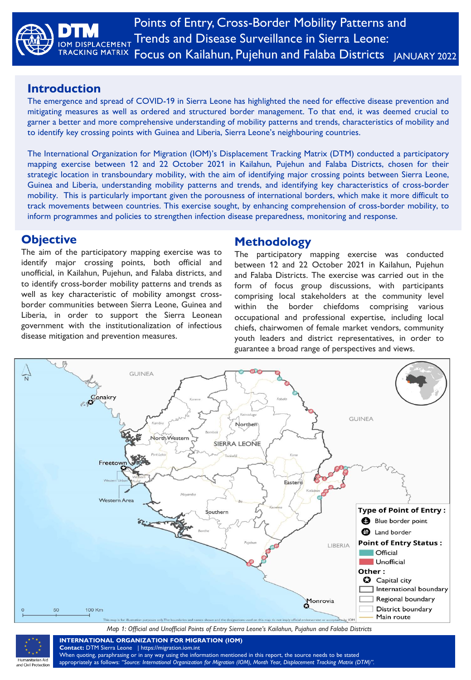

### **Introduction**

The emergence and spread of COVID-19 in Sierra Leone has highlighted the need for effective disease prevention and mitigating measures as well as ordered and structured border management. To that end, it was deemed crucial to garner a better and more comprehensive understanding of mobility patterns and trends, characteristics of mobility and to identify key crossing points with Guinea and Liberia, Sierra Leone's neighbouring countries.

The International Organization for Migration (IOM)'s Displacement Tracking Matrix (DTM) conducted a participatory mapping exercise between 12 and 22 October 2021 in Kailahun, Pujehun and Falaba Districts, chosen for their strategic location in transboundary mobility, with the aim of identifying major crossing points between Sierra Leone, Guinea and Liberia, understanding mobility patterns and trends, and identifying key characteristics of cross-border mobility. This is particularly important given the porousness of international borders, which make it more difficult to track movements between countries. This exercise sought, by enhancing comprehension of cross-border mobility, to inform programmes and policies to strengthen infection disease preparedness, monitoring and response.

### **Objective**

The aim of the participatory mapping exercise was to identify major crossing points, both official and unofficial, in Kailahun, Pujehun, and Falaba districts, and to identify cross-border mobility patterns and trends as well as key characteristic of mobility amongst crossborder communities between Sierra Leone, Guinea and Liberia, in order to support the Sierra Leonean government with the institutionalization of infectious disease mitigation and prevention measures.

## **Methodology**

The participatory mapping exercise was conducted between 12 and 22 October 2021 in Kailahun, Pujehun and Falaba Districts. The exercise was carried out in the form of focus group discussions, with participants comprising local stakeholders at the community level within the border chiefdoms comprising various occupational and professional expertise, including local chiefs, chairwomen of female market vendors, community youth leaders and district representatives, in order to guarantee a broad range of perspectives and views.



*Map 1: Official and Unofficial Points of Entry Sierra Leone's Kailahun, Pujahun and Falaba Districts*